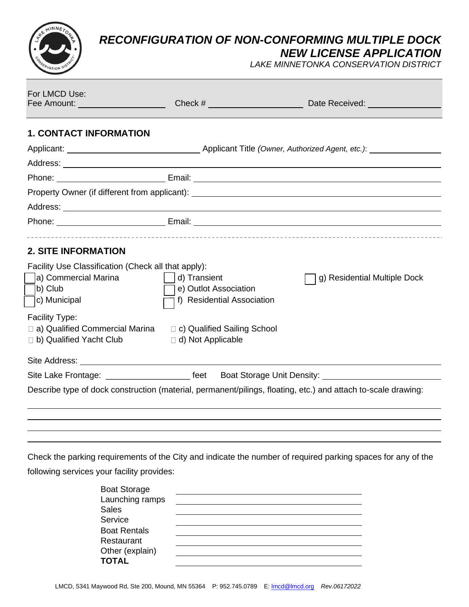*RECONFIGURATION OF NON-CONFORMING MULTIPLE DOCK*

*NEW LICENSE APPLICATION*

*LAKE MINNETONKA CONSERVATION DISTRICT*

| For LMCD Use:<br>Fee Amount: <u>________________________</u>                                                                         |                                                                     |                                                                                                                                                                                                                                      |
|--------------------------------------------------------------------------------------------------------------------------------------|---------------------------------------------------------------------|--------------------------------------------------------------------------------------------------------------------------------------------------------------------------------------------------------------------------------------|
| <b>1. CONTACT INFORMATION</b>                                                                                                        |                                                                     |                                                                                                                                                                                                                                      |
|                                                                                                                                      |                                                                     |                                                                                                                                                                                                                                      |
|                                                                                                                                      |                                                                     |                                                                                                                                                                                                                                      |
|                                                                                                                                      |                                                                     | Phone: <u>New York: Email: Email: New York: New York: New York: New York: New York: New York: New York: New York: New York: New York: New York: New York: New York: New York: New York: New York: New York: New York: New York: </u> |
|                                                                                                                                      |                                                                     | Property Owner (if different from applicant): ___________________________________                                                                                                                                                    |
|                                                                                                                                      |                                                                     |                                                                                                                                                                                                                                      |
|                                                                                                                                      |                                                                     | Phone: <u>New York: Email: Email: New York: New York: New York: New York: New York: New York: New York: New York: New York: New York: New York: New York: New York: New York: New York: New York: New York: New York: New York: </u> |
| <b>2. SITE INFORMATION</b><br>Facility Use Classification (Check all that apply):<br>a) Commercial Marina<br>b) Club<br>c) Municipal | d) Transient<br>e) Outlot Association<br>f) Residential Association | g) Residential Multiple Dock                                                                                                                                                                                                         |
| Facility Type:<br>□ a) Qualified Commercial Marina<br>$\Box$ b) Qualified Yacht Club                                                 | □ c) Qualified Sailing School<br>d) Not Applicable                  |                                                                                                                                                                                                                                      |
|                                                                                                                                      |                                                                     |                                                                                                                                                                                                                                      |
|                                                                                                                                      |                                                                     | Site Lake Frontage: ________________________ feet Boat Storage Unit Density: ______________________                                                                                                                                  |
|                                                                                                                                      |                                                                     | Describe type of dock construction (material, permanent/pilings, floating, etc.) and attach to-scale drawing:                                                                                                                        |
|                                                                                                                                      |                                                                     |                                                                                                                                                                                                                                      |

Check the parking requirements of the City and indicate the number of required parking spaces for any of the following services your facility provides:

| <b>Boat Storage</b><br>Launching ramps<br><b>Sales</b> |  |
|--------------------------------------------------------|--|
| Service                                                |  |
| <b>Boat Rentals</b>                                    |  |
| Restaurant                                             |  |
| Other (explain)                                        |  |
| <b>TOTAL</b>                                           |  |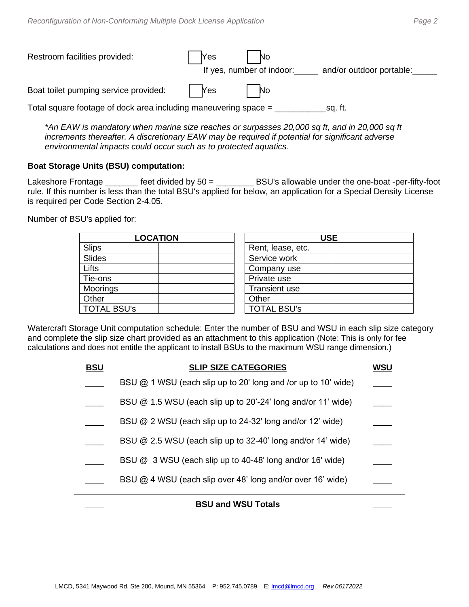| Restroom facilities provided:                                   | <b>Yes</b> | No<br>If yes, number of indoor:<br>and/or outdoor portable: |  |
|-----------------------------------------------------------------|------------|-------------------------------------------------------------|--|
| Boat toilet pumping service provided:                           | Yes        | - No                                                        |  |
| Total square footage of dock area including maneuvering space = |            | sq. ft.                                                     |  |

*\*An EAW is mandatory when marina size reaches or surpasses 20,000 sq ft, and in 20,000 sq ft increments thereafter. A discretionary EAW may be required if potential for significant adverse environmental impacts could occur such as to protected aquatics.*

## **Boat Storage Units (BSU) computation:**

Lakeshore Frontage \_\_\_\_\_\_\_ feet divided by 50 = \_\_\_\_\_\_\_\_ BSU's allowable under the one-boat -per-fifty-foot rule. If this number is less than the total BSU's applied for below, an application for a Special Density License is required per Code Section 2-4.05.

Number of BSU's applied for:

| <b>LOCATION</b>    | USE                  |
|--------------------|----------------------|
| <b>Slips</b>       | Rent, lease, etc.    |
| Slides             | Service work         |
| Lifts              | Company use          |
| Tie-ons            | Private use          |
| Moorings           | <b>Transient use</b> |
| Other              | Other                |
| <b>TOTAL BSU's</b> | <b>TOTAL BSU's</b>   |

| <b>USE</b>           |  |  |
|----------------------|--|--|
| Rent, lease, etc.    |  |  |
| Service work         |  |  |
| Company use          |  |  |
| Private use          |  |  |
| <b>Transient use</b> |  |  |
| Other                |  |  |
| <b>TOTAL BSU's</b>   |  |  |

Watercraft Storage Unit computation schedule: Enter the number of BSU and WSU in each slip size category and complete the slip size chart provided as an attachment to this application (Note: This is only for fee calculations and does not entitle the applicant to install BSUs to the maximum WSU range dimension.)

| <b>BSU</b> | <b>SLIP SIZE CATEGORIES</b>                                     | WSU |
|------------|-----------------------------------------------------------------|-----|
|            | BSU $@$ 1 WSU (each slip up to 20' long and /or up to 10' wide) |     |
|            | BSU @ 1.5 WSU (each slip up to 20'-24' long and/or 11' wide)    |     |
|            | BSU @ 2 WSU (each slip up to 24-32' long and/or 12' wide)       |     |
|            | BSU @ 2.5 WSU (each slip up to 32-40' long and/or 14' wide)     |     |
|            | BSU @ 3 WSU (each slip up to 40-48' long and/or 16' wide)       |     |
|            | BSU @ 4 WSU (each slip over 48' long and/or over 16' wide)      |     |
|            | <b>BSU and WSU Totals</b>                                       |     |
|            |                                                                 |     |